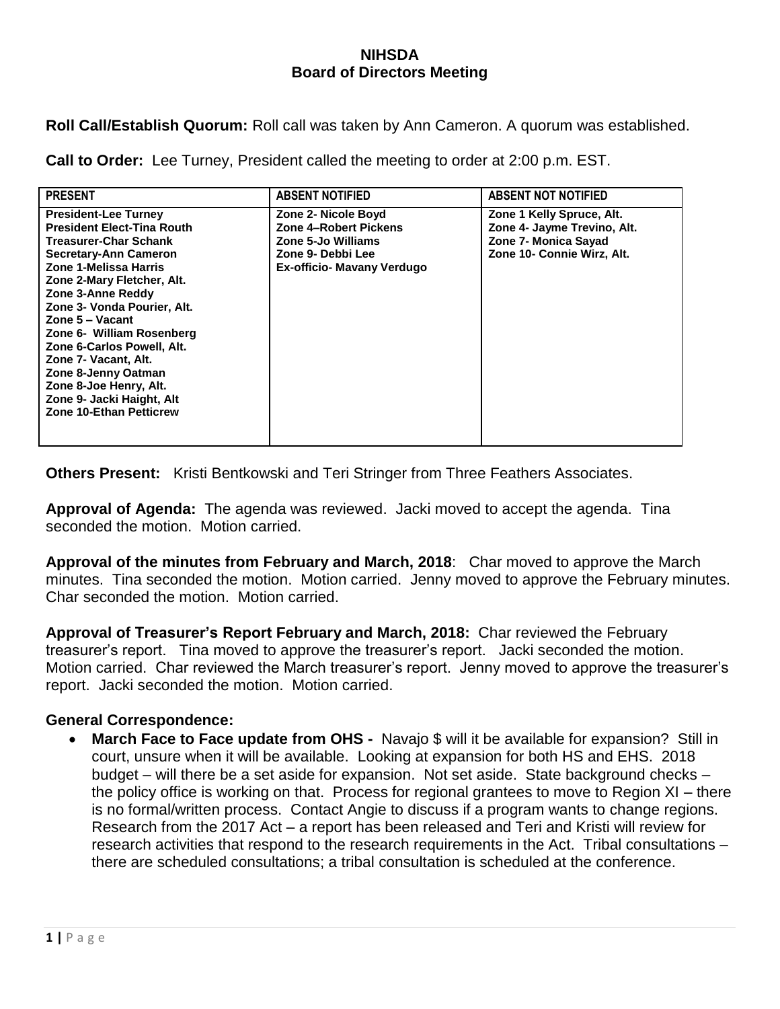## **NIHSDA Board of Directors Meeting**

**Roll Call/Establish Quorum:** Roll call was taken by Ann Cameron. A quorum was established.

**Call to Order:** Lee Turney, President called the meeting to order at 2:00 p.m. EST.

| <b>PRESENT</b>                                                                                                                                                                                                                                                                                                                                                                                                                                                    | <b>ABSENT NOTIFIED</b>                                                                                                              | <b>ABSENT NOT NOTIFIED</b>                                                                                     |
|-------------------------------------------------------------------------------------------------------------------------------------------------------------------------------------------------------------------------------------------------------------------------------------------------------------------------------------------------------------------------------------------------------------------------------------------------------------------|-------------------------------------------------------------------------------------------------------------------------------------|----------------------------------------------------------------------------------------------------------------|
| <b>President-Lee Turney</b><br><b>President Elect-Tina Routh</b><br><b>Treasurer-Char Schank</b><br><b>Secretary-Ann Cameron</b><br>Zone 1-Melissa Harris<br>Zone 2-Mary Fletcher, Alt.<br>Zone 3-Anne Reddy<br>Zone 3- Vonda Pourier, Alt.<br>Zone 5 – Vacant<br>Zone 6- William Rosenberg<br>Zone 6-Carlos Powell, Alt.<br>Zone 7- Vacant, Alt.<br>Zone 8-Jenny Oatman<br>Zone 8-Joe Henry, Alt.<br>Zone 9- Jacki Haight, Alt<br><b>Zone 10-Ethan Petticrew</b> | Zone 2- Nicole Boyd<br><b>Zone 4-Robert Pickens</b><br>Zone 5-Jo Williams<br>Zone 9- Debbi Lee<br><b>Ex-officio- Mavany Verdugo</b> | Zone 1 Kelly Spruce, Alt.<br>Zone 4- Jayme Trevino, Alt.<br>Zone 7- Monica Sayad<br>Zone 10- Connie Wirz, Alt. |

**Others Present:** Kristi Bentkowski and Teri Stringer from Three Feathers Associates.

**Approval of Agenda:** The agenda was reviewed. Jacki moved to accept the agenda. Tina seconded the motion. Motion carried.

**Approval of the minutes from February and March, 2018**: Char moved to approve the March minutes. Tina seconded the motion. Motion carried. Jenny moved to approve the February minutes. Char seconded the motion. Motion carried.

**Approval of Treasurer's Report February and March, 2018:** Char reviewed the February treasurer's report. Tina moved to approve the treasurer's report. Jacki seconded the motion. Motion carried. Char reviewed the March treasurer's report. Jenny moved to approve the treasurer's report. Jacki seconded the motion. Motion carried.

## **General Correspondence:**

**March Face to Face update from OHS -** Navajo \$ will it be available for expansion? Still in court, unsure when it will be available. Looking at expansion for both HS and EHS. 2018 budget – will there be a set aside for expansion. Not set aside. State background checks – the policy office is working on that. Process for regional grantees to move to Region XI – there is no formal/written process. Contact Angie to discuss if a program wants to change regions. Research from the 2017 Act – a report has been released and Teri and Kristi will review for research activities that respond to the research requirements in the Act. Tribal consultations – there are scheduled consultations; a tribal consultation is scheduled at the conference.